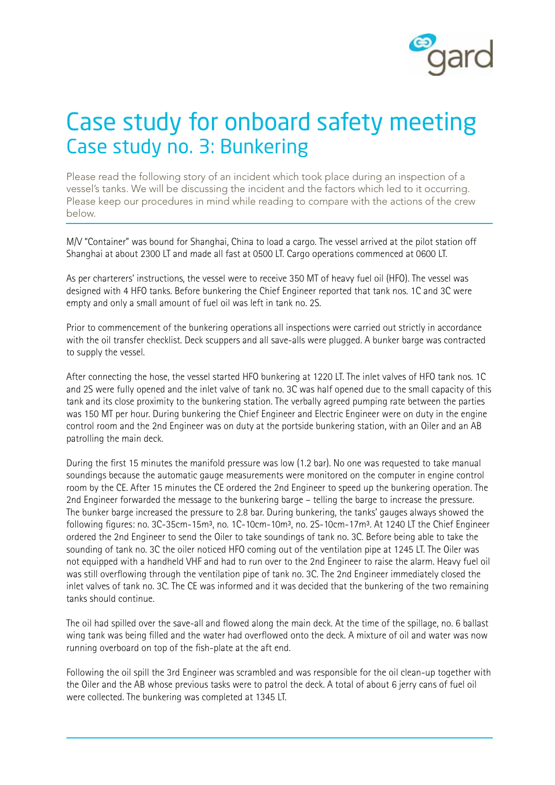

## Case study for onboard safety meeting Case study no. 3: Bunkering

Please read the following story of an incident which took place during an inspection of a vessel's tanks. We will be discussing the incident and the factors which led to it occurring. Please keep our procedures in mind while reading to compare with the actions of the crew below.

M/V "Container" was bound for Shanghai, China to load a cargo. The vessel arrived at the pilot station off Shanghai at about 2300 LT and made all fast at 0500 LT. Cargo operations commenced at 0600 LT.

As per charterers' instructions, the vessel were to receive 350 MT of heavy fuel oil (HFO). The vessel was designed with 4 HFO tanks. Before bunkering the Chief Engineer reported that tank nos. 1C and 3C were empty and only a small amount of fuel oil was left in tank no. 2S.

Prior to commencement of the bunkering operations all inspections were carried out strictly in accordance with the oil transfer checklist. Deck scuppers and all save-alls were plugged. A bunker barge was contracted to supply the vessel.

After connecting the hose, the vessel started HFO bunkering at 1220 LT. The inlet valves of HFO tank nos. 1C and 2S were fully opened and the inlet valve of tank no. 3C was half opened due to the small capacity of this tank and its close proximity to the bunkering station. The verbally agreed pumping rate between the parties was 150 MT per hour. During bunkering the Chief Engineer and Electric Engineer were on duty in the engine control room and the 2nd Engineer was on duty at the portside bunkering station, with an Oiler and an AB patrolling the main deck.

During the first 15 minutes the manifold pressure was low (1.2 bar). No one was requested to take manual soundings because the automatic gauge measurements were monitored on the computer in engine control room by the CE. After 15 minutes the CE ordered the 2nd Engineer to speed up the bunkering operation. The 2nd Engineer forwarded the message to the bunkering barge – telling the barge to increase the pressure. The bunker barge increased the pressure to 2.8 bar. During bunkering, the tanks' gauges always showed the following figures: no. 3C-35cm-15m<sup>3</sup>, no. 1C-10cm-10m<sup>3</sup>, no. 2S-10cm-17m<sup>3</sup>. At 1240 LT the Chief Engineer ordered the 2nd Engineer to send the Oiler to take soundings of tank no. 3C. Before being able to take the sounding of tank no. 3C the oiler noticed HFO coming out of the ventilation pipe at 1245 LT. The Oiler was not equipped with a handheld VHF and had to run over to the 2nd Engineer to raise the alarm. Heavy fuel oil was still overflowing through the ventilation pipe of tank no. 3C. The 2nd Engineer immediately closed the inlet valves of tank no. 3C. The CE was informed and it was decided that the bunkering of the two remaining tanks should continue.

The oil had spilled over the save-all and flowed along the main deck. At the time of the spillage, no. 6 ballast wing tank was being filled and the water had overflowed onto the deck. A mixture of oil and water was now running overboard on top of the fish-plate at the aft end.

Following the oil spill the 3rd Engineer was scrambled and was responsible for the oil clean-up together with the Oiler and the AB whose previous tasks were to patrol the deck. A total of about 6 jerry cans of fuel oil were collected. The bunkering was completed at 1345 LT.